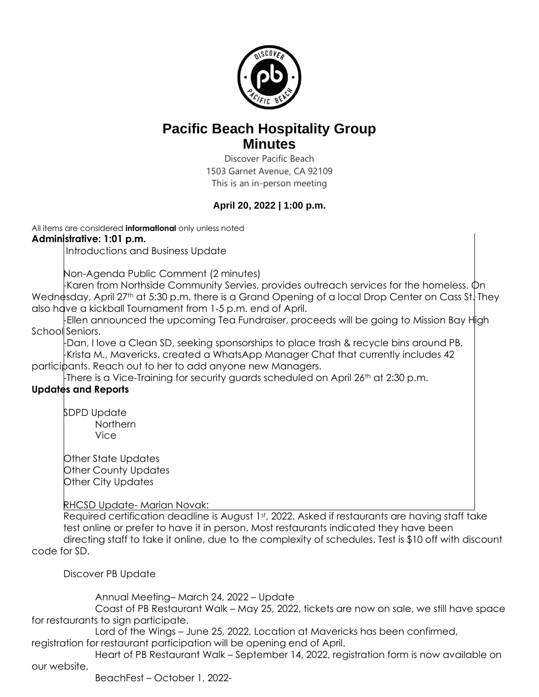

# **Pacific Beach Hospitality Group Minutes**

Discover Pacific Beach 1503 Garnet Avenue, CA 92109 This is an in-person meeting

# **April 20, 2022 | 1:00 p.m.**

All items are considered **informational** only unless noted **Administrative: 1:01 p.m.** 

Introductions and Business Update

Non-Agenda Public Comment (2 minutes)

-Karen from Northside Community Servies, provides outreach services for the homeless. On Wednesday, April 27<sup>th</sup> at 5:30 p.m. there is a Grand Opening of a local Drop Center on Cass St. They also have a kickball Tournament from 1-5 p.m. end of April.

Ellen announced the upcoming Tea Fundraiser, proceeds will be going to Mission Bay High School Seniors.

-Dan, I love a Clean SD, seeking sponsorships to place trash & recycle bins around PB. -Krista M., Mavericks, created a WhatsApp Manager Chat that currently includes 42 participants. Reach out to her to add anyone new Managers.

There is a Vice-Training for security guards scheduled on April 26<sup>th</sup> at 2:30 p.m.

## **Updates and Reports**

SDPD Update Northern Vice

Other State Updates Other County Updates Other City Updates

RHCSD Update- Marian Novak:

Required certification deadline is August 1st, 2022. Asked if restaurants are having staff take test online or prefer to have it in person. Most restaurants indicated they have been directing staff to take it online, due to the complexity of schedules. Test is \$10 off with discount

code for SD.

Discover PB Update

Annual Meeting– March 24, 2022 – Update

Coast of PB Restaurant Walk – May 25, 2022, tickets are now on sale, we still have space for restaurants to sign participate.

Lord of the Wings – June 25, 2022, Location at Mavericks has been confirmed,

registration for restaurant participation will be opening end of April.

Heart of PB Restaurant Walk – September 14, 2022, registration form is now available on our website.

BeachFest – October 1, 2022-